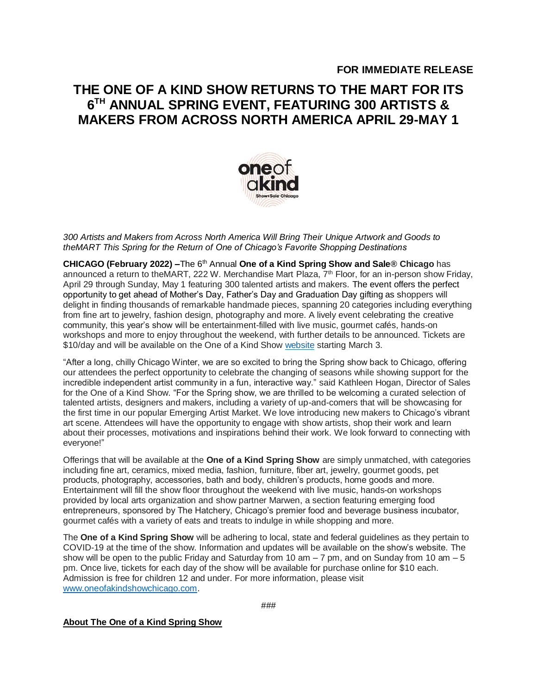## **THE ONE OF A KIND SHOW RETURNS TO THE MART FOR ITS 6 TH ANNUAL SPRING EVENT, FEATURING 300 ARTISTS & MAKERS FROM ACROSS NORTH AMERICA APRIL 29-MAY 1**



*300 Artists and Makers from Across North America Will Bring Their Unique Artwork and Goods to theMART This Spring for the Return of One of Chicago's Favorite Shopping Destinations*

**CHICAGO (February 2022) –**The 6th Annual **One of a Kind Spring Show and Sale® Chicago** has announced a return to theMART, 222 W. Merchandise Mart Plaza, 7<sup>th</sup> Floor, for an in-person show Friday, April 29 through Sunday, May 1 featuring 300 talented artists and makers. The event offers the perfect opportunity to get ahead of Mother's Day, Father's Day and Graduation Day gifting as shoppers will delight in finding thousands of remarkable handmade pieces, spanning 20 categories including everything from fine art to jewelry, fashion design, photography and more. A lively event celebrating the creative community, this year's show will be entertainment-filled with live music, gourmet cafés, hands-on workshops and more to enjoy throughout the weekend, with further details to be announced. Tickets are \$10/day and will be available on the One of a Kind Show [website](http://www.oneofakindshowchicago.com/) starting March 3.

"After a long, chilly Chicago Winter, we are so excited to bring the Spring show back to Chicago, offering our attendees the perfect opportunity to celebrate the changing of seasons while showing support for the incredible independent artist community in a fun, interactive way." said Kathleen Hogan, Director of Sales for the One of a Kind Show. "For the Spring show, we are thrilled to be welcoming a curated selection of talented artists, designers and makers, including a variety of up-and-comers that will be showcasing for the first time in our popular Emerging Artist Market. We love introducing new makers to Chicago's vibrant art scene. Attendees will have the opportunity to engage with show artists, shop their work and learn about their processes, motivations and inspirations behind their work. We look forward to connecting with everyone!"

Offerings that will be available at the **One of a Kind Spring Show** are simply unmatched, with categories including fine art, ceramics, mixed media, fashion, furniture, fiber art, jewelry, gourmet goods, pet products, photography, accessories, bath and body, children's products, home goods and more. Entertainment will fill the show floor throughout the weekend with live music, hands-on workshops provided by local arts organization and show partner Marwen, a section featuring emerging food entrepreneurs, sponsored by The Hatchery, Chicago's premier food and beverage business incubator, gourmet cafés with a variety of eats and treats to indulge in while shopping and more.

The **One of a Kind Spring Show** will be adhering to local, state and federal guidelines as they pertain to COVID-19 at the time of the show. Information and updates will be available on the show's website. The show will be open to the public Friday and Saturday from 10 am  $-7$  pm, and on Sunday from 10 am  $-5$ pm. Once live, tickets for each day of the show will be available for purchase online for \$10 each. Admission is free for children 12 and under. For more information, please visit [www.oneofakindshowchicago.com.](http://www.oneofakindshowchicago.com/)

## **About The One of a Kind Spring Show**